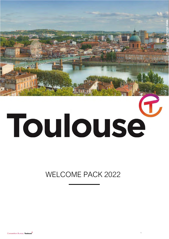

# Toulouse

WELCOME PACK 2022

1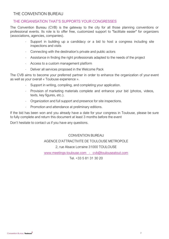# THE CONVENTION BUREAU

# THE ORGANISATION THAT'S SUPPORTS YOUR CONGRESSES

The Convention Bureau (CVB) is the gateway to the city for all those planning conventions or professional events. Its role is to offer free, customized support to "facilitate easier" for organizers (associations, agencies, companies).

- Support in building up a candidacy or a bid to host a congress including site inspections and visits
- Connecting with the destination's private and public actors
- Assistance in finding the right professionals adapted to the needs of the project
- Access to a custom management platform
- Deliver all services proposed in the Welcome Pack

The CVB aims to become your preferred partner in order to enhance the organization of your event as well as your overall « Toulouse experience ».

- Support in writing, compiling, and completing your application.
- Provision of marketing materials complete and enhance your bid (photos, videos, texts, key figures, etc.).
- Organization and full support and presence for site inspections.
- Promotion and attendance at preliminary editions.

If the bid has been won and you already have a date for your congress in Toulouse, please be sure to fully complete and return this document at least 3 months before the event

Don't hesitate to contact us if you have any questions.

# CONVENTION BUREAU

## AGENCE D'ATTRACTIVITE DE TOULOUSE METROPOLE

2, rue Alsace Lorraine 31000 TOULOUSE

[www.meetings-toulouse.com](http://www.meetings-toulouse.com/) - [cvb@toulouseatout.com](mailto:cvb@toulouseatout.com)

Tel. +33 5 81 31 30 20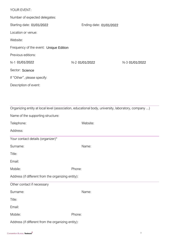| YOUR EVENT:                            |                         |                |
|----------------------------------------|-------------------------|----------------|
| Number of expected delegates:          |                         |                |
| Starting date: 01/01/2022              | Ending date: 01/01/2022 |                |
| Location or venue:                     |                         |                |
| Website:                               |                         |                |
| Frequency of the event: Unique Edition |                         |                |
| Previous editions:                     |                         |                |
| N-1 01/01/2022                         | N-2 01/01/2022          | N-3 01/01/2022 |
| Sector: Science                        |                         |                |
| If "Other", please specify:            |                         |                |
| Description of event:                  |                         |                |
|                                        |                         |                |

|                                                    | Organizing entity at local level (association, educational body, university, laboratory, company ) |  |  |
|----------------------------------------------------|----------------------------------------------------------------------------------------------------|--|--|
| Name of the supporting structure:                  |                                                                                                    |  |  |
| Telephone:                                         | Website:                                                                                           |  |  |
| Address:                                           |                                                                                                    |  |  |
| Your contact details (organizer)*                  |                                                                                                    |  |  |
| Surname:                                           | Name:                                                                                              |  |  |
| Title:                                             |                                                                                                    |  |  |
| Email:                                             |                                                                                                    |  |  |
| Mobile:                                            | Phone:                                                                                             |  |  |
| Address (if different from the organizing entity): |                                                                                                    |  |  |
| Other contact if necessary                         |                                                                                                    |  |  |
| Surname:                                           | Name:                                                                                              |  |  |
| Title:                                             |                                                                                                    |  |  |
| Email:                                             |                                                                                                    |  |  |
| Mobile:                                            | Phone:                                                                                             |  |  |
| Address (if different from the organizing entity): |                                                                                                    |  |  |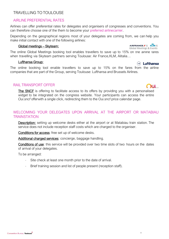# TRAVELLING TO TOULOUSE

# AIRLINE PREFERENTIAL RATES

Airlines can offer preferential rates for delegates and organisers of congresses and conventions. You can therefore choose one of the them to become your preferred airlinecarrier.

Depending on the geographical regions most of your delegates are coming from, we can help you make initial contact with one of the following airlines:

# Global meetings – Skyteam:

The online Global Meetings booking tool enables travellers to save up to 15% on the airline fares when travelling via Skyteam partners serving Toulouse: Air France,KLM, Alitalia…

# Lufthansa Group:

The online booking tool enable travellers to save up to 15% on the fares from the airline companies that are part of the Group, serving Toulouse: Lufthansa and Brussels Airlines.

# RAIL TRANSPORT OFFER

The SNCF is offering to facilitate access to its offers by providing you with a personalised widget to be integrated on the congress website. Your participants can access the entire *Oui.sncf* offerwith a single click, redirecting them to the Oui.sncf price calendar page.

# WELCOMING YOUR DELEGATES UPON ARRIVAL AT THE AIRPORT OR MATABIAU **TRAINSTATION**

**Description:** setting up welcome desks either at the airport or at Matabiau train station. The service does not include reception staff costs which are charged to the organiser.

Conditions for access: free set up of welcome desks.

Additional charged services: concierge, baggage handling.

Conditions of use: this service will be provided over two time slots of two hours on the dates of arrival of your delegates.

To be arranged:

- Site check at least one month prior to the date of arrival.
- Brief training session and list of people present (reception staff).

 $\odot$  Lufthansa

**JUL** 

AIRFRANCE / 8 KLM **Global Meetings & Events**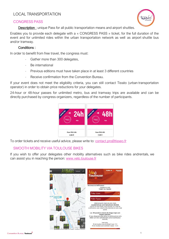# LOCAL TRANSPORTATION

# CONGRESS PASS



Description : unique Pass for all public transportation means and airport shuttles.

Enables you to provide each delegate with a « CONGRESS PASS » ticket, for the full duration of the event and for unlimited rides within the urban transportation network as well as airport shuttle bus and/or tramway.

# Conditions :

In order to benefit from free travel, the congress must:

- Gather more than 300 delegates,
- Be international
- Previous editions must have taken place in at least 3 different countries
- Receive confirmation from the Convention Bureau.

If your event does not meet the eligibility criteria, you can still contact Tisséo (urban transportation operator) in order to obtain price reductions for your delegates.

24-hour or 48-hour passes for unlimited metro, bus and tramway trips are available and can be directly purchased by congress organizers, regardless of the number of participants.



To order tickets and receive useful advice, please write to: [contact.pro@tisseo.fr](mailto:contact.pro@tisseo.fr)

# SMOOTH MOBILITY VIA TOUL OUSE BIKES

If you wish to offer your delegates other mobility alternatives such as bike rides andrentals, we can assist you in reaching the person: [www.velo.toulouse.fr](http://www.velo.toulouse.fr/)

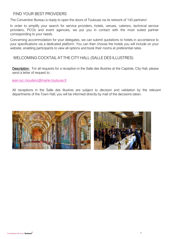# FIND YOUR BEST PROVIDERS

The Convention Bureau is ready to open the doors of Toulouse via its network of 140 partners!

In order to simplify your search for service providers, hotels, venues, caterers, technical service providers, PCOs and event agencies, we put you in contact with the most suited partner corresponding to your needs.

Concerning accommodation for your delegates, we can submit quotations to hotels in accordance to your specifications via a dedicated platform. You can then choose the hotels you will include on your website, enabling participants to view all options and book their rooms at preferential rates.

# WELCOMING COCKTAIL AT THE CITY HALL (SALLE DES ILLUSTRES)

Description: For all requests for a reception in the Salle des Illustres at the Capitole, City Hall, please send a letter of request to :

jean-luc.moudenc@mairie-toulouse.fr

All receptions in the Salle d[es Illustres are subject to decision a](mailto:jean-luc.moudenc@mairie-toulouse.fr)nd validation by the relevant departments of the Town Hall; you will be informed directly by mail of the decisions taken.

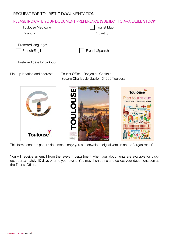# REQUEST FOR TOURISTIC DOCUMENTATION

# PLEASE INDICATE YOUR DOCUMENT PREFERENCE (SUBJECT TO AVAILABLE STOCK)

| Toulouse Magazine   | Tourist Map |
|---------------------|-------------|
| Quantity:           | Quantity:   |
|                     |             |
| Preferred language: |             |



Preferred date for pick-up:

Pick-up location and address: Tourist Office - Donjon du Capitole Square Charles de Gaulle 31000 Toulouse



This form concerns papers documents only; you can download digital version on the "organizer kit"

You will receive an email from the relevant department when your documents are available for pickup, approximately 10 days prior to your event. You may then come and collect your documentation at the Tourist Office.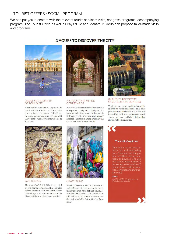# TOURIST OFFERS / SOCIAL PROGRAM

We can put you in contact with the relevant tourist services: visits, congress programs, accompanying program. The Tourist Office as well as Pays d'Oc and Manatour Group can propose tailor-made visits and programs.

2 HOURS TO DISCOVER THE CITY



# GREAT MONUMENTS<br>OF TOULOUSE

After seeing the Place du Capitole, the basilica of Saint-Sernin and the Jacobins church, from the banks of the River Garonne you can admire the splendid views of the most iconic monuments of Toulouse



# A LITTLE TOUR IN THE<br>COURTYARDS

A courtyard that is practically hidden, an unexpected courtyard, a courtyard that is no more, cloistered courtyards, a simple little courtyard... You may have already guessed that this is a trail through the city in search of its courtyards!



#### IN THE HEART OF THE **SAINT-ÉTIENNE QUARTER**

Visit the cathedral and its discreetly charming neighbourhood. This tour goes far from the bustle of city life and is studded with narrow streets, small squares and former official buildings that should not be overlooked.



**AVETOLOSA** 

The year is 50 B.C. All of Gaul is occupied by the Romans. And yes, that includes Tolosa! Across the city and at the Musée Saint-Raymond we can retrace the history of these ancient times together.



**GRAFF TOUR** 

Street art has made itself at home on our walls. Discover its origins and its codes, the artists that have defined Toulouse from the 1990s and the artworks that are still visible on our streets, some created during festivals like Latino Graff or Rose Béton.

#### The visitor's opinion

This visit in pairs is extremely rich and interesting for all members of the public, whether they are experts or novices. The use of a coach allows visitors to access a greater number of works. It was really a beautiful, original and instruc-

#### **FISSO**

on 27/04/2018 "Graff tour" visit<mark>.</mark><br>Posted on our web site.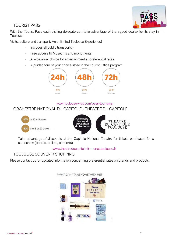

# TOURIST PASS

With the Tourist Pass each visiting delegate can take advantage of the «good deals» for its stay in Toulouse.

Visits, culture and transport. An unlimited Toulouse Experience!

- . Includes all public transports ·
- Free access to Museums and monuments·
- A wide array choice for entertainment at preferential rates
- A guided tour of your choice listed in the Tourist Office program



# ww[w.toulouse-visit.com/pass-tourisme](http://www.toulouse-visit.com/pass-tourisme)

# ORCHESTRE NATIONAL DU CAPITOLE - THÉÂTRE DU CAPITOLE



Take advantage of discounts at the Capitole National Theatre for tickets purchased for a sameshow (operas, ballets, concerts)

# [www.theatreducapitole.fr -](http://www.theatreducapitole.fr/)- onct.toulouse.fr

# TOULOUSE SOUVENIR SHOPPING

Please contact us for updated information concerning preferential rates on brands and products.



**WHAT CAN I TAKE HOME WITH ME?**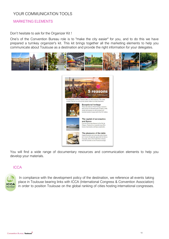# YOUR COMMUNICATION TOOLS

# MARKETING ELEMENTS

### Don't hesitate to ask for the Organizer Kit !

One's of the Convention Bureau role is to "make the city easier" for you, and to do this we have prepared a turnkey organizer's kit. This kit brings together all the marketing elements to help you communicate about Toulouse as a destination and provide the right information for your delegates.





You will find a wide range of documentary resources and communication elements to help you develop your materials.

# **ICCA**



 In compliance with the development policy of the destination, we reference all events taking place in Toulouse bearing links with ICCA (International Congress & Convention Association) in order to position Toulouse on the global ranking of cities hosting international congresses.